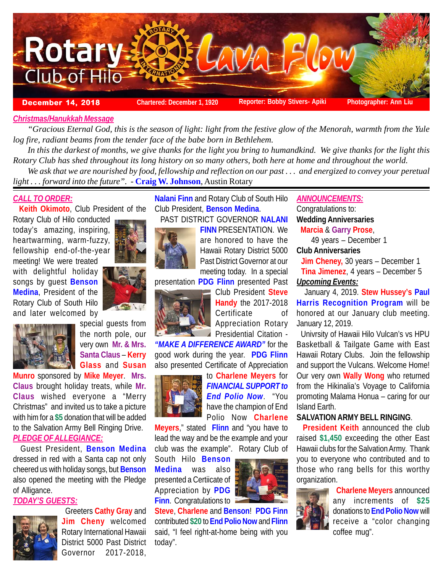

### *Christmas/Hanukkah Message*

*"Gracious Eternal God, this is the season of light: light from the festive glow of the Menorah, warmth from the Yule log fire, radiant beams from the tender face of the babe born in Bethlehem.*

*In this the darkest of months, we give thanks for the light you bring to humandkind. We give thanks for the light this Rotary Club has shed throughout its long history on so many others, both here at home and throughout the world.*

*We ask that we are nourished by food, fellowship and reflection on our past . . . and energized to convey your peretual light . . . forward into the future".* - **Craig W. Johnson**, Austin Rotary

# *CALL TO ORDER:*

 **Keith Okimoto**, Club President of the

Rotary Club of Hilo conducted today's amazing, inspiring, heartwarming, warm-fuzzy, fellowship end-of-the-year

meeting! We were treated with delightful holiday songs by guest **Benson Medina**, President of the Rotary Club of South Hilo and later welcomed by



special guests from the north pole, our very own **Mr. & Mrs. Santa Claus** – **Kerry Glass** and **Susan**

**Munro** sponsored by **Mike Meyer**. **Mrs. Claus** brought holiday treats, while **Mr. Claus** wished everyone a "Merry Christmas" and invited us to take a picture with him for a **\$5** donation that will be added to the Salvation Army Bell Ringing Drive. *PLEDGE OF ALLEGIANCE:*

 Guest President, **Benson Medina** dressed in red with a Santa cap not only cheered us with holiday songs, but **Benson** also opened the meeting with the Pledge of Alligance.

# *TODAY'S GUESTS:*

**Jim Cheny** welcomed Rotary International Hawaii District 5000 Past District Governor 2017-2018,

Greeters **Cathy Gray** and

**Nalani Finn** and Rotary Club of South Hilo Club President, **Benson Medina**.

PAST DISTRICT GOVERNOR **NALANI**

**FINN** PRESENTATION. We are honored to have the Hawaii Rotary District 5000 Past District Governor at our meeting today. In a special

presentation **PDG Flinn** presented Past



Club President **Steve Handy** the 2017-2018 Certificate of Appreciation Rotary

**Presidential Citation -***"MAKE A DIFFERENCE AWARD"* for the good work during the year. **PDG Flinn** also presented Certificate of Appreciation



to **Charlene Meyers** for *FINANCIAL SUPPORT to End Polio Now*. "You have the champion of End Polio Now **Charlene**

**Meyers**," stated **Flinn** and "you have to lead the way and be the example and your club was the example". Rotary Club of

South Hilo **Benson Medina** was also presented a Certiicate of Appreciation by **PDG Finn**. Congratulations to



**Steve**, **Charlene** and **Benson**! **PDG Finn** contributed **\$20** to **End Polio Now** and **Flinn** said, "I feel right-at-home being with you today".

*ANNOUNCEMENTS:* Congratulations to: **Wedding Anniversaries Marcia** & **Garry Prose**,

49 years – December 1 **Club Anniversaries**

 **Jim Cheney,** 30 years – December 1 **Tina Jimenez**, 4 years – December 5 *Upcoming Events:*

 January 4, 2019. **Stew Hussey's Paul Harris Recognition Program** will be honored at our January club meeting. January 12, 2019.

 Univrsity of Hawaii Hilo Vulcan's vs HPU Basketball & Tailgate Game with East Hawaii Rotary Clubs. Join the fellowship and support the Vulcans. Welcome Home! Our very own **Wally Wong** who returned from the Hikinalia's Voyage to California promoting Malama Honua – caring for our Island Earth.

# **SALVATION ARMY BELL RINGING**.

 **President Keith** announced the club raised **\$1,450** exceeding the other East Hawaii clubs for the Salvation Army. Thank you to everyone who contributed and to those who rang bells for this worthy organization.



 **Charlene Meyers** announced any increments of **\$25** donations to **End Polio Now** will receive a "color changing coffee mug".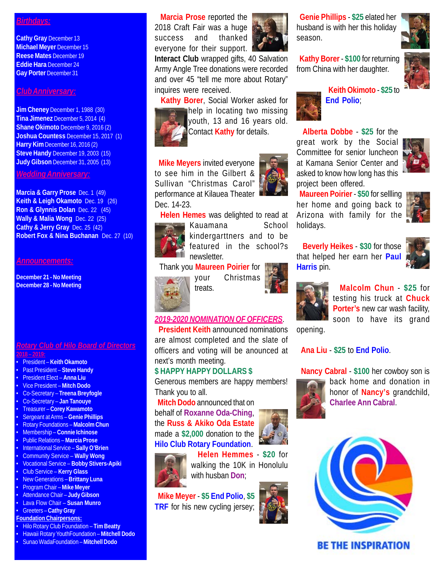## *Birthdays:*

**Cathy Gray December 13 Michael Meyer** December 15 **Reese Mates** December 19 **Eddie Hara** December 24 **Gay Porter** December 31

### *Club Anniversary:*

**Jim Cheney** December 1, 1988 (30) **Tina Jimenez** December 5, 2014 (4) **Shane Okimoto** December 9, 2016 (2) **Joshua Countess** December 15, 2017 (1) **Harry Kim** December 16, 2016 (2) **Steve Handy** December 19, 2003 (15) **Judy Gibson** December 31, 2005 (13)

### *Wedding Anniversary:*

**Marcia & Garry Prose** Dec. 1 (49) **Keith & Leigh Okamoto** Dec. 19 (26) **Ron & Glynnis Dolan** Dec. 22 (45) **Wally & Malia Wong** Dec. 22 (25) **Cathy & Jerry Gray** Dec. 25 (42) **Robert Fox & Nina Buchanan** Dec. 27 (10)

### *Announcements:*

**December 21 - No Meeting December 28 - No Meeting**

### *Rotary Club of Hilo Board of Directors* **2018 – 2019:**

- President **Keith Okamoto**
- Past President **Steve Handy**
- President Elect **Anna Liu**
- Vice President **Mitch Dodo**
- Co-Secretary **Treena Breyfogle**
- Co-Secretary **Jan Tanouye**
- Treasurer **Corey Kawamoto**
- Sergeant at Arms – **Genie Phillips**
- Rotary Foundations **Malcolm Chun**
- Membership **Connie Ichinose**
- Public Relations **Marcia Prose**
- International Service **Sally O'Brien**
- Community Service **Wally Wong**
- Vocational Service **Bobby Stivers-Apiki** • Club Service – **Kerry Glass**
- New Generations **Brittany Luna**
- Program Chair – **Mike Meyer**
- Attendance Chair **Judy Gibson**
- Lava Flow Chair **Susan Munro**
- Greeters **Cathy Gray**

# **Foundation Chairpersons:**

- Hilo Rotary Club Foundation **Tim Beatty**
- Hawaii Rotary YouthFoundation **Mitchell Dodo**
- Sunao WadaFoundation **Mitchell Dodo**

 **Marcia Prose** reported the 2018 Craft Fair was a huge success and thanked everyone for their support.

**Interact Club** wrapped gifts, 40 Salvation Army Angle Tree donations were recorded and over 45 "tell me more about Rotary"

inquires were received. **Kathy Borer**, Social Worker asked for



help in locating two missing youth, 13 and 16 years old. Contact **Kathy** for details.

 **Mike Meyers** invited everyone to see him in the Gilbert & Sullivan "Christmas Carol" performance at Kilauea Theater Dec. 14-23.



 **Helen Hemes** was delighted to read at Kauamana School kindergarttners and to be featured in the school?s newsletter.

treats.



your Christmas

## *2019-2020 NOMINATION OF OFFICERS*.

 **President Keith** announced nominations are almost completed and the slate of officers and voting will be anounced at next's month meeting.

## **\$ HAPPY HAPPY DOLLARS \$**

Generous members are happy members! Thank you to all.

 **Mitch Dodo** announced that on behalf of **Roxanne Oda-Ching**, the **Russ & Akiko Oda Estate** made a **\$2,000** donation to the **Hilo Club Rotary Foundation**.





 **Helen Hemmes** - **\$20** for walking the 10K in Honolulu with husban **Don**;

 **Mike Meyer** - **\$5 End Polio**, **\$5 TRF** for his new cycling jersey;



 **Genie Phillips** - **\$25** elated her husband is with her this holiday season.



 **Kathy Borer** - **\$100** for returning from China with her daughter.



 **Keith Okimoto** - **\$25** to **End Polio**;

 **Alberta Dobbe** - **\$25** for the great work by the Social Committee for senior luncheon at Kamana Senior Center and asked to know how long has this project been offered.

 **Maureen Poirier** - **\$50** for sellling her home and going back to Arizona with family for the holidays.



 **Beverly Heikes** - **\$30** for those that helped her earn her **Paul Harris** pin.





 **Malcolm Chun** - **\$25** for testing his truck at **Chuck Porter's** new car wash facility, soon to have its grand

opening.

### **Ana Liu** - **\$25** to **End Polio**.

 **Nancy Cabral** - **\$100** her cowboy son is



back home and donation in honor of **Nancy's** grandchild, **Charlee Ann Cabral**.



# **BE THE INSPIRATION**





Thank you **Maureen Poirier** for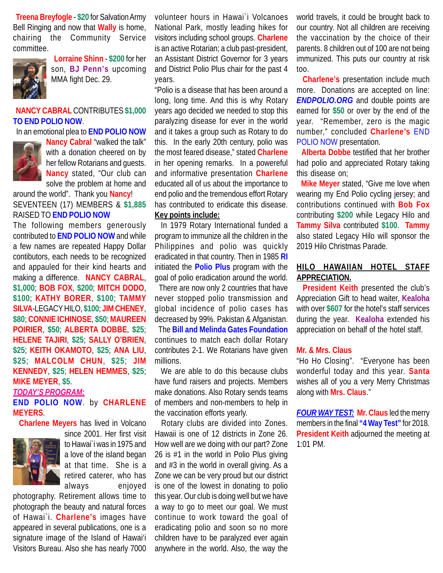**Treena Breyfogle** - **\$20** for Salvation Army Bell Ringing and now that **Wally** is home, chairing the Community Service committee.



 **Lorraine Shinn** - **\$200** for her son, **BJ Penn's** upcoming MMA fight Dec. 29.

# **NANCY CABRAL** CONTRIBUTES **\$1,000 TO END POLIO NOW**.

In an emotional plea to **END POLIO NOW**



**Nancy Cabral** "walked the talk" with a donation cheered on by her fellow Rotarians and guests. **Nancy** stated, "Our club can solve the problem at home and

around the world". Thank you **Nancy**! SEVENTEEN (17) MEMBERS & **\$1,885** RAISED TO **END POLIO NOW**

The following members generously contributed to **END POLIO NOW** and while a few names are repeated Happy Dollar contibutors, each needs to be recognized and appauled for their kind hearts and making a difference. **NANCY CABRAL**, **\$1,000**; **BOB FOX**, **\$200**; **MITCH DODO**, **\$100**; **KATHY BORER**, **\$100**; **TAMMY SILVA**-LEGACY HILO, **\$100**; **JIM CHENEY**, **\$80**; **CONNIE ICHINOSE**, **\$50**; **MAUREEN POIRIER**, **\$50**; **ALBERTA DOBBE**, **\$25**; **HELENE TAJIRI**, **\$25**; **SALLY O'BRIEN**, **\$25**; **KEITH OKAMOTO**, **\$25**; **ANA LIU**, **\$25**; **MALCOLM CHUN**, **\$25**; **JIM KENNEDY**, **\$25**; **HELEN HEMMES**, **\$25**; **MIKE MEYER**, **\$5**.

### *TODAY'S PROGRAM:*

### **END POLIO NOW**. by **CHARLENE MEYERS**.

**Charlene Meyers** has lived in Volcano



since 2001. Her first visit to Hawai`i was in 1975 and a love of the island began at that time. She is a retired caterer, who has always enjoyed

photography. Retirement allows time to photograph the beauty and natural forces of Hawai`i. **Charlene's** images have appeared in several publications, one is a signature image of the Island of Hawai'i Visitors Bureau. Also she has nearly 7000

volunteer hours in Hawai`i Volcanoes National Park, mostly leading hikes for visitors including school groups. **Charlene** is an active Rotarian; a club past-president, an Assistant District Governor for 3 years and District Polio Plus chair for the past 4 years.

"Polio is a disease that has been around a long, long time. And this is why Rotary years ago decided we needed to stop this paralyzing disease for ever in the world and it takes a group such as Rotary to do this. In the early 20th century, polio was the most feared disease," stated **Charlene** in her opening remarks. In a powereful and informative presentation **Charlene** educated all of us about the importance to end polio and the tremendous effort Rotary has contributed to eridicate this disease. **Key points include:**

 In 1979 Rotary International funded a program to immunize all the children in the Philippines and polio was quickly eradicated in that country. Then in 1985 **RI** initiated the **Polio Plus** program with the goal of polio eradication around the world.

 There are now only 2 countries that have never stopped polio transmission and global incidence of polio cases has decreased by 99%. Pakistan & Afganistan.

 The **Bill and Melinda Gates Foundation** continues to match each dollar Rotary contributes 2-1. We Rotarians have given millions.

 We are able to do this because clubs have fund raisers and projects. Members make donations. Also Rotary sends teams of members and non-members to help in the vaccination efforts yearly.

 Rotary clubs are divided into Zones. Hawaii is one of 12 districts in Zone 26. How well are we doing with our part? Zone 26 is #1 in the world in Polio Plus giving and #3 in the world in overall giving. As a Zone we can be very proud but our district is one of the lowest in donating to polio this year. Our club is doing well but we have a way to go to meet our goal. We must continue to work toward the goal of eradicating polio and soon so no more children have to be paralyzed ever again anywhere in the world. Also, the way the

world travels, it could be brought back to our country. Not all children are receiving the vaccination by the choice of their parents. 8 children out of 100 are not being immunized. This puts our country at risk too.

 **Charlene's** presentation include much more. Donations are accepted on line: *ENDPOLIO.ORG* and double points are earned for **\$50** or over by the end of the year. "Remember, zero is the magic number," concluded **Charlene's** END POLIO NOW presentation.

 **Alberta Dobbe** testified that her brother had polio and appreciated Rotary taking this disease on;

 **Mike Meyer** stated, "Give me love when wearing my End Polio cycling jersey; and contributions continued with **Bob Fox** contributing **\$200** while Legacy Hilo and **Tammy Silva** contributed **\$100**. **Tammy** also stated Legacy Hilo will sponsor the 2019 Hilo Christmas Parade.

# **HILO HAWAIIAN HOTEL STAFF APPRECIATION.**

 **President Keith** presented the club's Appreciation Gift to head waiter, **Kealoha** with over **\$607** for the hotel's staff services during the year. **Kealoha** extended his appreciation on behalf of the hotel staff.

### **Mr. & Mrs. Claus**

"Ho Ho Closing". "Everyone has been wonderful today and this year. **Santa** wishes all of you a very Merry Christmas along with **Mrs. Claus**."

*FOUR WAY TEST:* **Mr. Claus** led the merry members in the final **"4 Way Test"** for 2018. **President Keith** adjourned the meeting at 1:01 PM.